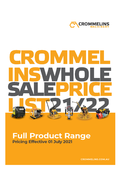

# M

**Full Product Range**<br>Pricing Effective 01 July 2021

**CROMMELINS.COM.AU**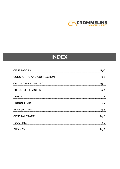

# **INDEX**

| <b>GENERATORS</b>                | Pg <sub>1</sub> |
|----------------------------------|-----------------|
| <b>CONCRETING AND COMPACTION</b> | Pg <sub>3</sub> |
| <b>CUTTING AND DRILLING</b>      | Pg 4            |
| <b>PRESSURE CLEANERS</b>         | Pg 4            |
| <b>PUMPS</b>                     | Pg <sub>5</sub> |
| <b>GROUND CARE</b>               | Pg 7            |
| <b>AIR EQUIPMENT</b>             | Pg <sub>8</sub> |
| <b>GENERAL TRADE</b>             | Pg <sub>8</sub> |
| <b>FLOORING</b>                  | Pg <sub>8</sub> |
| <b>ENGINES</b>                   | Pg 9            |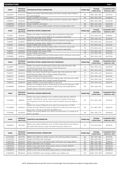| <b>GENERATORS</b> |                                 |                                                                                                                                                                                                                            |             |                              | Page 1                                              |
|-------------------|---------------------------------|----------------------------------------------------------------------------------------------------------------------------------------------------------------------------------------------------------------------------|-------------|------------------------------|-----------------------------------------------------|
| Model             | Wholesale<br>(Net Price)        | <b>CROMMELINS PETROL GENERATORS</b>                                                                                                                                                                                        | Weight (kg) | <b>Package</b><br>LxWxH (mm) | <b>Competitive Price</b><br><b>Guide (Inc. GST)</b> |
| CG64RPH           | \$2,707.00                      | 5000w max, Robin 14hp EX40 engine, roll frame, 2 plugs, r/start, 76db at<br>7m, with Hirepack                                                                                                                              | 85          | 980 x 530 x 660              | \$3,720.00                                          |
| CG64RPEH          | \$3,404.00                      | Model CG64RPH with e/start                                                                                                                                                                                                 | 98          | 980 x 530 x 660              | \$4,680.00                                          |
| CG85RPH           | \$3,221.00                      | 7000w max, Robin 14hp EX40 engine, roll frame, 2 plugs, r/start, 76db at<br>7m, with Hirepack                                                                                                                              | 95          | 980 x 530 x 660              | \$4,429.00                                          |
| CG85RPEH          | \$3,794.00                      | Model CG85RPH with e/start                                                                                                                                                                                                 | 100         | 980 x 530 x 660              | \$5,200.00                                          |
| CG100BPEH         | \$4,966.00                      | 8000w max, Vanguard 16hp engine, roll frame, 2 plugs, e/start with                                                                                                                                                         | 105         | 980 x 530 x 660              | \$6,830.00                                          |
| Model             | <b>Wholesale</b><br>(Net Price) | <b>CROMTECH PETROL GENERATORS</b>                                                                                                                                                                                          | Weight (kg) | <b>Package</b><br>LxWxH (mm) | <b>Competitive Price</b><br><b>Guide (Inc. GST)</b> |
| TG40RP            | \$1,012.00                      | 3200w max, Robin 7hp EX21 engine, 25mm roll frame, mecce alte<br>alternator, 2x plugs, r/start, 68db at 7m, Australian assembled                                                                                           | 40          | 610 x 450 x 410              | \$1,390.00                                          |
| TG40HP            | \$1,042.00                      | Model TG40RP with Honda GX200                                                                                                                                                                                              | 40          | 610 x 450 x 410              | \$1,430.00                                          |
| TG60RP            | \$1,486.00                      | 5000w max, Robin 9hp EX27 engine, 25mm roll frame, mecce alte<br>alternator, 2x plugs, r/start, 70db at 7m, Australian assembled                                                                                           | 56          | 710 x 500 x 540              | \$2,045.00                                          |
| TG60HP            | \$1,580.00                      | Model TG60RP with Honda GX270                                                                                                                                                                                              | 56          | 710 x 500 x 540              | \$2,170.00                                          |
| TG85RP            | \$1,848.00                      | 7000w max, Robin 14hp EX40 engine, 25mm roll frame, mecce alte<br>alternator, 2x plugs, r/start, 72db at 7m, Australian assembled                                                                                          | 70          | 710 x 500 x 540              | \$2,540.00                                          |
| TG85HP            | \$1,970.00                      | Model TG85RP with Honda GX390                                                                                                                                                                                              | 70          | 710 x 500 x 540              | \$2,710.00                                          |
| TG85RPE           | \$2,412.00                      | Model TG85RP with e/start                                                                                                                                                                                                  | 76          | 710 x 500 x 540              | \$3,310.00                                          |
| TG100BPE          | \$3,181.00                      | 8000w max, Briggs & Stratton 16.0hp engine, 25mm roll frame, mecce alte<br>alternator, 2x plugs, e/start, Australian assembled                                                                                             | 100         | 760 x 500 x 540              | \$4,370.00                                          |
| Model             | <b>Wholesale</b><br>(Net Price) | <b>CROMTECH PETROL GENERATORS WITH TRADEPACK</b>                                                                                                                                                                           | Weight (kg) | <b>Package</b><br>LxWxH (mm) | <b>Competitive Price</b><br><b>Guide (Inc. GST)</b> |
| TG40RPT           | \$1,626.00                      | 3200w max, Robin 7hp EX21 petrol engine, Mecc Alte alternator, IP66<br>weatherproof outlets, RCD, wheels, handle, lifting hook                                                                                             | 40          | 760 x 500 x 540              | \$2,236.00                                          |
| TG40HPT           | \$1,658.00                      | Model TG40RPT With Honda GX200                                                                                                                                                                                             | 40          | 760 x 500 x 540              | \$2,280.00                                          |
| TG60RPT           | \$2,064.00                      | 5000w max, Robin 9hp EX27 petrol engine, Mecc Alte alternator, IP66<br>weatherproof outlets, RCD, wheels, handle, lifting hook                                                                                             | 57          | 760 x 500 x 540              | \$2,840.00                                          |
| TG60HPT           | \$2,189.00                      | Model TG60RPT With Honda GX270                                                                                                                                                                                             | 57          | 760 x 500 x 540              | \$3,010.00                                          |
| TG85RPT           | \$2,425.00                      | 7000w max, Robin 14.0hp EX40 petrol engine, Mecc Alte alternator, IP66<br>weatherproof outlets, RCD, wheels, handle, lifting hook                                                                                          | 70          | 760 x 500 x 540              | \$3,335.00                                          |
| TG85HPT           | \$2,585.00                      | Model TG85RPT with Honda GX390, 6.1L fuel tank<br>8000w max, Briggs & Stratton 16.0hp engine, mecce alte alternator, IP66                                                                                                  | 70          | 760 x 500 x 540              | \$3,555.00                                          |
| TG100BPET         | \$3,280.00                      | weatherproof outlets, RCD, wheels, handle, lifting hook (adds 180mm<br>height), e/start, Australian assembled                                                                                                              | 105         | 810 x 450 x 610              | \$4,510.00                                          |
| Model             | Wholesale<br>(Net Price)        | <b>CROMTECH LEISURE GENERATORS</b>                                                                                                                                                                                         | Weight (kg) | <b>Package</b><br>LxWxH (mm) | <b>Competitive Price</b><br><b>Guide (Inc. GST)</b> |
| <b>CTG2500I</b>   | \$850.00                        | 2400w max output, 2100watt cont., 2x 230V outlets (15amp), USB (5V)<br>outlets, 12V-8amp DC outlet, Pure sine wave, 5 to 20hrs continuous<br>running, bonus cover, 5.0L fuel tank, 1 year Cromtech warranty, 52db at<br>7m | 20          | 547 x 350 x 505              | \$1,170.00                                          |
| <b>CTG4500IE</b>  | \$1,602.00                      | 4500w max output, 3700watt cont., electric & remote start, 2x 230V<br>outlets (15 amp) USB (5V) outlets, 12V 8amp DC outlet, pure sine wave, 4-12<br>hours cont. running, 7L fuel tank, 55-60dB at 7m                      | 38          | 611 x 487 x 530              | \$2,202.00                                          |
| <b>TG7000IE</b>   | \$3,333.00                      | 7000w max output, 6000w cont, electric & remote start, 3 x outlets (2x 15<br>AMP, 1x 32 AMP)                                                                                                                               | 130         | 950 x 765 x 773              | \$4,580.00                                          |
| Model             | <b>Wholesale</b><br>(Net Price) | <b>CROMTECH AVR GENERATOR</b>                                                                                                                                                                                              | Weight (kg) | <b>Package</b><br>LxWxH (mm) | <b>Competitive Price</b><br><b>Guide (Inc. GST)</b> |
| <b>TG6500VE</b>   | \$1,140.00                      | 6500w max output, 6000watt cont., 2x 230V outlets (15amp), 12V-8.3amp<br>DC outlet, 25L fuel tank, 1 year Cromtech warranty, 74db at 7m                                                                                    | 87          | 715 x 545 x 605              | \$1,570.00                                          |

| TDC OULICE, ZJL TUCH LATIN, I YEAT CHUTTLECH WATTAHLY, 740D AL 7TH |  |  |
|--------------------------------------------------------------------|--|--|
|                                                                    |  |  |
|                                                                    |  |  |

| Model    | Wholesale<br>(Net Price) | <b>CROMMELINS DIESEL GENERATORS</b>                                     | Weight (kg) | Package<br>LxWxH (mm) | <b>Competitive Price</b><br><b>Guide (Inc. GST)</b> |
|----------|--------------------------|-------------------------------------------------------------------------|-------------|-----------------------|-----------------------------------------------------|
| CG40YDEH | \$5,173.00               | 3800w max, 3500 cont. diesel, Yanmar L70, roll frame, e/start, hirepack | 85          | 755 x 510 x 550       | \$7,110.00                                          |
| CG40YDEM | \$5,913.00               | Model CG40YDEH with minespec                                            | 120         | 850 x 510 x 650       | \$8,200.00                                          |
| CG69YDEH | \$5,590.00               | 5500w max, Yanmar L100 diesel engine, roll frame, twin plugs, e/start,  | 120         | 980 x 530 x 660       | \$7,685.00                                          |
| CG69YDEM | \$6,397.00               | Model CG69YDEH with minespec                                            | 120         | 980 x 530 x 660       | \$8,800.00                                          |
| CG80KDEH | \$7,434.00               | 6000w (max), 12hp Kohler diesel engine, e/start, 6 wheels, 82db/7m      | 130         | 1060 x 770 x 870      | \$10,220.00                                         |
| CG80KDEM | \$7,777.00               | Model CG80KDEH with minespec                                            | 156         | 1060 x 770 x 870      | \$10,695.00                                         |
| CG80ZDEH | \$7,687.00               | 6000w (max), Hatz 10.5hp 1B40 engine, e/start, 6 wheels, 82db at 7m     | 126         | 1060 x 770 x 870      | \$10,560.00                                         |
| CG80ZDEM | \$8,492.00               | Model CG80ZDEH with minespec. 6000w max, 5400w cont.                    | 152         | 1060 x 770 x 870      | \$11,680.00                                         |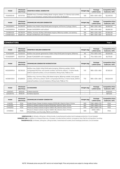| <b>Model</b> | Wholesale<br>(Net Price) | <b>CROMTECH DIESEL GENERATOR</b>                                                                                                         | Weight (kg) | Package<br>LxWxH (mm) | <b>Competitive Price</b><br><b>Guide (Inc. GST)</b> |
|--------------|--------------------------|------------------------------------------------------------------------------------------------------------------------------------------|-------------|-----------------------|-----------------------------------------------------|
| TG6000DVE    | \$1,747.00               | 6000W max, Cromtech 9.8hp diesel engine, e/start, 2 x 15amp w/p outlets,  <br>RCD, circuit breakers, wheels, fold out handles, 95 dba@1m | 105         | 800 x 500 x 650       | \$2,400.00                                          |

| <b>Model</b> | Wholesale<br>(Net Price) | <b>CROMMELINS WELDER GENERATOR</b>                                      | Weight (kg) | Package<br>$LxWxH$ (mm) | <b>Competitive Price</b><br><b>Guide (Inc. GST)</b> |
|--------------|--------------------------|-------------------------------------------------------------------------|-------------|-------------------------|-----------------------------------------------------|
| GW200RPH     | \$4,262.00               | 6400w max, Robin 14hp EX40 petrol engine, roll frame, 2 plugs, r/start, | 82          | 980 x 530 x 660         | \$5,850.00                                          |
| GW200RPEH    | \$4,859.00               | Model GW200RPH with e/start                                             | 95          | 980 x 530 x 660         | \$6,680.00                                          |
| GW180YDE     | \$5,762.00               | 4500w, Yanmar 10.0hp L100 diesel engine, 180amp welder, c/w battery     | 106         | 980 x 530 x 600         | \$7,900.00                                          |
| GW180YDEH    | \$6,667.00               | Model GW180YDE with hirepack                                            | 116         | 980 x 530 x 660         | \$9,160.00                                          |

### **GENERATORS Page 2**

| Model     | <b>Wholesale</b><br>(Net Price) | <b>CROMTECH WELDER GENERATOR</b>                                   | Weight (kg) | Package<br>$LxWxH$ (mm) | <b>Competitive Price</b><br><b>Guide (Inc. GST)</b> |
|-----------|---------------------------------|--------------------------------------------------------------------|-------------|-------------------------|-----------------------------------------------------|
| TGW200RP  | \$2,553.00                      | [6400w max power generation, Robin 14hp EX40 petrol engine, 200amp | 83          | 710 x 500 x 540         | \$3,500.00                                          |
| TGW200RPT | \$3,037.00                      | Model TGW200RP with tradepack                                      | 90          | 710 x 500 x 540         | \$4,175.00                                          |

| Model     | Wholesale<br>(Net Price) | <b>CROMMELINS GENERATOR WORKSTATION</b>                                                                                                                                                                                | Weight (kg) | Package<br>LxWxH (mm) | <b>Competitive Price</b><br><b>Guide (Inc. GST)</b> |
|-----------|--------------------------|------------------------------------------------------------------------------------------------------------------------------------------------------------------------------------------------------------------------|-------------|-----------------------|-----------------------------------------------------|
| WS200RPEH | \$5,765.00               | 6400w max, Robin 14hp EX40 petrol engine, 200amp welder, 10cfm<br>compressor/40 litre, twin power outlets, roll frame, e/start, 5 metre leads,<br>2xRCD w/proof outlets, 2 circuit breakers, lifting hook, 76db at 7m  | 143         | 980 x 530 x 660       | \$7,925.00                                          |
| WS180YDEH | \$7,668.00               | 4500w max, Yanmar 10hp L100 diesel engine, 180amp welder, twin power<br>outlets, roll frame, e/start, 10cfm compressor/40 litre, 5 metre leads, 2xRCD<br>w/proof outlets, 2 circuit breakers, lifting hook, 79db at 7m | 170         | 980 x 530 x 660       | \$10,545.00                                         |

| <b>Model</b> | Wholesale<br>(Net Price) | <b>ACCESSORIES</b> | Weight (kg)              | <b>Package</b><br>$LxWxH$ (mm) | <b>Competitive Price</b><br><b>Guide (Inc. GST)</b> |
|--------------|--------------------------|--------------------|--------------------------|--------------------------------|-----------------------------------------------------|
| LEADKIT      | \$303.00                 | 5 Metre lead kit   | $\overline{\phantom{0}}$ |                                | \$420.00                                            |
| LEADKITIO    | \$492.00                 | 10 Metre lead kit  |                          | $\overline{\phantom{0}}$       | \$675.00                                            |

| <b>Model</b>       | Wholesale<br>(Net Price) | <b>CROMMELINS STANDBY GENERATOR</b>                                 | Weight (kg) | <b>Package</b><br>LxWxH (mm) | <b>Competitive Price</b><br><b>Guide (Inc. GST)</b> |
|--------------------|--------------------------|---------------------------------------------------------------------|-------------|------------------------------|-----------------------------------------------------|
| CHK <sub>13S</sub> | <b>POA</b>               | Single Phase, Diesel, Kubota engine D1703-BG, Electric Start. Prime | 625         | 1782 x 868 x 1115            | <b>POA</b>                                          |
| CHK13S3            | <b>POA</b>               | Phase 3, Diesel, Kubota engine D1703-BC, Electric Start. Prime      | 601         | 1783 x 868 x 1115            | <b>POA</b>                                          |
| CHK20S3            | <b>POA</b>               | Phase 3, Diesel, Kubota engine V3303 -BG, Electric Start. Prime     | 670         | 1834 x 868 x 1115            | <b>POA</b>                                          |
| <b>CHK30S3</b>     | <b>POA</b>               | Phase 3, Diesel, Kubota engine V2203 -BG, Electric Start. Prime     | 930         | 2000 x 925 x                 | <b>POA</b>                                          |
|                    |                          | 17kVA/13.6kw and Standby 19kVA and 15.2kw                           |             | 1300                         |                                                     |

**HIREPACK (H):** 2x Wheels, Lifting bar, Lifting handle, 2 weatherproof outlets, Earth leakage protection, Circuit breaker **MINESPEC (M):** In addition to hirepack features, minespec includes battery isolator, emergency stop, 1kg fire extinguisher, bunding **TRADEPACK (T):** 2x Wheels, Lifting bar, Lifting handle, 2 weatherproof outlets, Earth leakage protection, Circuit breaker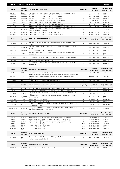### **COMPACTION & CONCRETING**

| ٠ |  |
|---|--|
|   |  |
|   |  |

| Model           | Wholesale<br>(Net Price)        | <b>CROMMELINS COMPACTORS</b>                                                                                                                        | Weight (kg)                                 | Package<br>LxWxH (mm)        | <b>Competitive Price</b><br><b>Guide (Inc. GST)</b> |
|-----------------|---------------------------------|-----------------------------------------------------------------------------------------------------------------------------------------------------|---------------------------------------------|------------------------------|-----------------------------------------------------|
| CC40HP          | \$1,191.00                      | 480 x 280mm plate, 5400vpm, 10kn, Honda GX100, lifting bar, wheels                                                                                  | 45                                          | 770 x 420 x 900              | \$1,635.00                                          |
| CC60RP          | \$1,363.00                      | 520x360mm plate, 5800vpm, 12kn, Robin 6hp EX17                                                                                                      | 68                                          | 770 x 420 x 700              | \$1,875.00                                          |
| CC60HP          | \$1,390.00                      | 520x360mm plate, 5800vpm, 12kn, Honda GX200                                                                                                         | 68                                          | 710 x 420 x 700              | \$1,910.00                                          |
| CC70RP          | \$1,525.00                      | 610x460mm plate, 6500vpm, 18kn, Robin 6hp EX17                                                                                                      | 82                                          | 630 x 520 x 1250             | \$2,095.00                                          |
| CC70RPT         | \$1,754.00                      | Model CC70RP with trade kit, folding handle & wheels                                                                                                | 82                                          | 630 x 520 620                | \$2,410.00                                          |
| CC70HP          | \$1,554.00                      | 610x460mm plate, 6500vpm, 18kn, Honda GX200                                                                                                         | 82                                          | 630 x 520 x 1250             | \$2,136.00                                          |
| CC70HPT         | \$1,784.00                      | Model CC70HP with trade kit, folding handle & wheels                                                                                                | 82                                          | 630 x 520 x 620              | \$2,450.00                                          |
| CC70YD          | \$3,483.00                      | 610x460mm plate, 6500vpm, 18kn, 4.7hp Yanmar L48N, diesel, r/start                                                                                  | 98                                          | 630 x 520 x 1250             | \$4,790.00                                          |
| CC70YDT         | \$3,715.00                      | 610x460mm plate, 6500vpm, 18kn, 4.7hp Yanmar L48N, diesel, r/start,<br>folding handle and wheels                                                    | 98                                          |                              | \$5,100.00                                          |
| CC90RP          | \$1,525.00                      | 540x500mm plate, 6000vpm, 16.5kn, Robin 6hp EX17                                                                                                    | 84                                          | 630 x 520 1250               | \$2,100.00                                          |
| CC90HP          | \$1,555.00                      | 540x500mm plate, 6000vpm, 16.5kn, Honda GX200                                                                                                       | 84                                          | 630 x 520 1250               | \$2,135.00                                          |
|                 |                                 |                                                                                                                                                     |                                             |                              |                                                     |
| Model           | Wholesale<br>(Net Price)        | <b>CROMMELINS POWER TROWELS</b>                                                                                                                     | Weight (kg)                                 | Package<br>LxWxH (mm)        | <b>Competitive Price</b><br><b>Guide (Inc. GST)</b> |
| CPT24RP         | \$1,732.00                      | 24" (610mm), Robin 6hp EX17D OHC, r/start, lifting hook & frame, blade<br>guard                                                                     | 50                                          | 1200 x 800 x 900             | \$2,210.00                                          |
| CPT34RP         | \$1,710.00                      | 34" (860mm), Robin 6hp EX17D OHC, r/start, lifting hook & frame, blade<br>guard                                                                     | 75                                          | 1100 x 1100 x 800            | \$2,350.00                                          |
| CPT34HP         | \$1,739.00                      | Model CPT34RP with Honda GX200                                                                                                                      | 75                                          | 1100 x 1100 x 800            | \$2,390.00                                          |
| CPT34YD         | \$3,993.00                      | 34" (860mm), diesel, 4.7hp Yanmar L48N, r/start, lifting hook & frame,<br>blade guard                                                               | 91                                          | 1100 x 1100 x 800            | \$5,300.00                                          |
| CPT40RP         | \$1,833.00                      | 40" (1000mm), Robin 6hp EX17D, r/start, lifting hook & frame, blade guard                                                                           | 78                                          | 1100 x 1100 x 800            | \$2,520.00                                          |
| CPT40HP         | \$1,870.00                      | Model CPT40RP with Honda GX200                                                                                                                      | 78                                          | 1100 x 1100 x 800            | \$2,570.00                                          |
|                 |                                 | 40" (1000mm), diesel, 4.7hp Yanmar L48N, r/start, lifting hook & frame,                                                                             |                                             |                              |                                                     |
| CPT40YD         | \$4,145.00                      | blade guard                                                                                                                                         | 93                                          | 1100 x 1100 x 800            | \$5,699.00                                          |
| Model           | Wholesale<br>(Net Price)        | <b>CONCRETING ACCESSORIES</b>                                                                                                                       | Weight (kg)                                 | <b>Package</b><br>LxWxH (mm) | <b>Competitive Price</b><br><b>Guide (Inc. GST)</b> |
| <b>CWKTR</b>    | \$288.00                        | Compactor Trolley for CC90R, CC70R                                                                                                                  | $\overline{\phantom{0}}$                    | 400 x 500 x 1305             | \$396.00                                            |
| <b>MPCOVER</b>  | \$41.00                         | Tarpaulin weatherproof cover, 450x450x450mm, bungee draw string with<br>4 hooks (Suits Crommelin Compactors, Drive units, Troweller & much<br>more) |                                             | 300 x 240 x 150              | \$59.00                                             |
| CC70FHK         | \$268.00                        | Retro fit trade kit with folding handle & wheels                                                                                                    | $-$                                         | 750 x 600 x 400              | \$375.00                                            |
| Model           | <b>Wholesale</b><br>(Net Price) | <b>CONCRETE DRIVE UNITS - PETROL, DIESEL</b>                                                                                                        | <b>Package</b><br>Weight (kg)<br>LxWxH (mm) |                              | <b>Competitive Price</b><br><b>Guide (Inc. GST)</b> |
| DU60RP          | \$913.00                        | Robin 6hp EX17D petrol engine, drives vibrators & pumps up to 3", roll                                                                              | 32                                          | 500 x 500 x 550              | \$1,255.00                                          |
| DU60HP          | \$925.00                        | Honda GX200, drives vibrators & pumps up to 3", roll frame, r/start                                                                                 | 32                                          | 500 x 500 x 550              | \$1,270.00                                          |
| TDU60HP         | \$532.00                        | Honda GP200, drives vibrators & pumps up to 3", with Ç shaped frame,                                                                                | 31                                          | 500 x 550 x 550              | \$730.00                                            |
|                 |                                 | r/start<br>Yanmar 4.7hp L48 diesel engine, drives vibrators & pumps up to 3", roll                                                                  |                                             |                              |                                                     |
| DU47YD          | \$2,692.00                      | frame, r/start                                                                                                                                      | 49                                          | 500 x 500 x 550              | \$3,700.00                                          |
| DU47YDE         | \$3,483.00                      | Model DU47YD with e/start                                                                                                                           | 50                                          | 600 x 510 x 550              | \$4,790.00                                          |
| DU47YDEM        | \$4,529.00                      | Model DU47YD with minespec                                                                                                                          | 60                                          | 765 x 525 x 555              | \$6,225.00                                          |
| <b>DU10YDE</b>  | \$4,424.00                      | Diesel 10.0hp Yanmar L100, electric start, drives vibrators & pumps up to<br>2", roll frame, e/start                                                | 63                                          | 765 x 525 x 555              | \$6,080.00                                          |
| <b>DU10YDEM</b> | \$5,173.00                      | Diesel 10.0hp Yanmar L100, electric start, drives vibrators & pumps up to<br>3", roll frame, e/start, with mine spec                                | 63                                          | 765 x 525 x 555              | \$7,110.00                                          |
| <b>Model</b>    | Wholesale<br>(Net Price)        | <b>CONCRETING VIBRATOR SHAFTS</b>                                                                                                                   | Weight (kg)                                 | Package<br>LxWxH (mm)        | <b>Competitive Price</b><br><b>Guide (Inc. GST)</b> |
| <b>JV28</b>     | \$744.00                        | Vibracon 28mm (11/8") concrete vibrator shaft, 5.5m drive cable                                                                                     | 15                                          | 940 x 740 x 80               | \$1,020.00                                          |
| <b>JV38</b>     | \$757.00                        | Vibracon 38mm ( $1\frac{1}{2}$ ") concrete vibrator shaft, 5.5m drive cable                                                                         | 19                                          | 940 x 740 x 80               | \$1,040.00                                          |
| <b>JV45</b>     | \$810.00                        | Vibracon 45mm (13/4") concrete vibrator shaft, 5.5m drive cable                                                                                     | 20                                          | 940 x 740 x 80               | \$1,112.00                                          |
| <b>JV60</b>     | \$869.00                        | Vibracon 60mm (23/8") concrete vibrator shaft, 5.5m drive cable                                                                                     | 21.5                                        | 940 x 740 x 80               | \$1,195.00                                          |
| JV3809M         | \$897.00                        | Model JV38 with 9m drive cable                                                                                                                      | 20                                          | 940 x 740 x 80               | \$1,233.00                                          |
| JV4509M         | \$926.00                        | Model JV45 with 9m drive cable                                                                                                                      | 21.5                                        | 940 x 740 x 80               | \$1,270.00                                          |
| <b>JV609M</b>   | \$1,116.00                      | Model JV60 with 9m drive cable                                                                                                                      | 21.5                                        | 940 x 740 x 80               | \$1,535.00                                          |
| <b>Model</b>    | Wholesale<br>(Net Price)        | <b>PORTABLE VIBRATORS</b>                                                                                                                           | Weight (kg)                                 | Package<br>LxWxH (mm)        | <b>Competitive Price</b><br><b>Guide (Inc. GST)</b> |
| CV45HP          | \$790.00                        | Crommelins model. 45mm shaft, 9000vpm, GX35 Honda 4-stroke engine,<br>resilient nose, 0.65L fuel tank                                               | $\mathbb{I}$                                | 1117 x 292 x 358             | \$1,180.00                                          |

| Model         | Wholesale<br>(Net Price) | <b>CROMMELINS FLOOR GRINDER</b>       | Weight (kg) | Package<br>LxWxH (mm) | <b>Competitive Price</b><br><b>Guide (Inc. GST)</b> |
|---------------|--------------------------|---------------------------------------|-------------|-----------------------|-----------------------------------------------------|
| <b>CFGKUB</b> | \$2,609.00               | Crommelins Concrete Floor Grinder 10" | 47          | 350 x 700 x 750       | \$3,585.00                                          |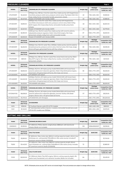### **PRESSURE CLEANERS Page 4 MODEL Wholesale CROMMELINS CPV PRESSURE CLEANERS** WEIGHT (Net Price) Weight (kg)  **Package LxWxH (mm) Competitive Price Guide (Inc. GST)** CPV2700RP \$1,425.00 2700psi max, 180 bar, 11.4L/min water flow, triplex pump with forged brass manifold, pressure relief valve, pressure control valve, 7hp Robin EX21, 10m hose, trolley frame, removable handle, pneumatic wheels  $43$  765 x 525 x 555 \$1,959.00 CPV2700HP \$1,447.00 Model CPV2700RP with Honda GX200 43 43 765 x 525 x 555 \$1,989.00 CPV3200RP \$1,893.00 3200psi max, 14.0L/min water flow, triplex pump with forged brass manifold and pressure relief valve, pressure control valve, Robin 9.0hp EX27 engine, 10m hose,trolley frame, removable handle, pneumatic wheels 48 960 x 530 x 660 \$2,600.00 CPV3200HP | \$2,021.00 Model CPV3200RP with Honda GX270 48 | 48 | 960 x 530 x 660 | \$2,779.00 CPV4000RP \$2,365.00 4000 psi max, 15L/min water flow, triplex pump with ceramic pistons, adjustable pressure regulator, Robin 14hp EX40 engine, 15m hose, pneumatic wheels, trolley from with removable handle 67 | 1060 x 770 x 870 | \$3,250.00 CPV4000HP | \$2,505.00 | Model CPV4000RP with Honda GX390 67 | 1060 x 770 x 870 | \$3,445.00 **MODEL Wholesale CROMMELINS CPH PRESSURE CLEANERS** WEIGHT AND MELTICE (Kg)  **Package LxWxH (mm) Competitive Price Guide (Inc. GST)** CPH3000RP \$2,252.00 3000psi max, 13L/min water flow, 4000psi, triplex pump, ceramic pistons, brasshead pump, pressure control valve, thermal valve, 10m hose, single lance with gun, galvanised frame with four wheels 83  $\vert$  765 x 525 x 555  $\vert$  \$3,095.00 **MODEL Wholesale (Net Price) CROMTECH TPV PRESSURE CLEANERS** Weight (kg) **Weight (kg) Package LxWxH (mm) Competitive Price Guide (Inc. GST)** TPV2700RP | \$813.00 2700psi max, 180 bar, 10L/min water flow, brass head axial pump, Robin 6hp EX17 engine, 10m hose, trolley frame, nozzles, removable handle, pneumatic wheels  $36$  |  $735 \times 525 \times 465$  | \$1,115.00 **MODEL Wholesale CROMMELINS PETROL CPC PRESSURE CLEANERS** WEIGHT AND Meight (kg)  **Package LxWxH (mm) Competitive Price Guide (Inc. GST)** CPC3000RP \$3,655.00 3000psi, 15L/min, AR triplex pump model RKA4G30N with brass head, ceramic pistons & 2:1 reduction gearbox, Robin 14hp EX40 petrol engine, recoil start, HD galvanised roll frame, 10m hose, twin lance 83 1060 x 770 x 870 \$5,025.00 CPC3000RPE \$4,105.00 CPC3000SP with e/start 1060 x 770 x 870 \$5,640.00 CPC4000RP \$4,040.00 4000psi, 15L/min, AR triplex pump model XWA4G40N with brass head, ceramic pistons & 2:1 reduction gearbox, Robin 14hp EX40 petrol engine, recoil start, HD galvanised roll frame, 10m hose, twin lance 85 1060 x 770 x 870 \$5,555.00 CPC4000RPE \$4,513.00 CPC4000RP with e/start 1060 x 770 x 870 \$6,200.00 **MODEL Wholesale CROMMELINS DIESEL CPC PRESSURE CLEANERS** WEIGHT AND **Price** Weight (kg)  **Package LxWxH (mm) Competitive Price Guide (Inc. GST)** CPC3000YDE | \$6,638.00 3000psi, 15L/min, AR triplex pump model RKA4G30N with brass head, ceramic pistons & 2:1 reduction gearbox, Yanmar 10.0hp L100 diesel engine, electric start, HD galvanised roll frame 117 1060 x 770 x 870 \$9,125.00 CPC3000YDEM \$7,275.00 CPC3000YDE with Minespec - 1061 x 770 x 870 \$10,000.00 **Model Wholesale (Net Price) ACCESSORIES Weight (kg) Package LxWxH (mm) Competitive Price Guide (Inc. GST)** SC15 | \$190.00 15" Surface Cleaner, suits CPV & TPV models | 460 x 460 x 180 | \$263.00 SC21 \$1,146.00 21" stainless steel surface cleaner, 4 castors, removable handle bars, suits

### **CUTTING AND DRILLING**

| <b>Model</b> | <b>Wholesale</b><br>(Net Price) | <b>CROMMELINS BRICK SAWS</b>                                         | Weight (kg) | <b>BARCODE</b> | <b>Competitive Price</b><br>Guide (Inc. GST) |
|--------------|---------------------------------|----------------------------------------------------------------------|-------------|----------------|----------------------------------------------|
| CBS350CE     | \$1,599.00                      | [14" (350mm), 1700w, electric, single phase, 2880rpm, with stand and | 109         | 9336493003107  | \$2,199.00                                   |
|              |                                 | wheels. Blade not included.                                          |             |                |                                              |

21 Staffness steel sandet cleaner, 4 castols, removable handle bars, sants [New York 200 x 550 x 290 ] \$1,575.00<br>CPV & CPC models over 3000psi

| Model        | Wholesale<br>(Net Price) | <b>GOLZ TILE SAWS</b>                                                                                                                                                              | Weight (kg) | <b>BARCODE</b> | <b>Competitive Price</b><br><b>Guide (Inc. GST)</b> |
|--------------|--------------------------|------------------------------------------------------------------------------------------------------------------------------------------------------------------------------------|-------------|----------------|-----------------------------------------------------|
| TS200        | \$1,269.00               | 8" (200mm), 1.3kw motor size, 560mm cutting capacity length, 40mm max<br>thickness cut, cutting table 720x480mm, 55w water pump, includes 8"<br>premium ceramic blade (CW20002)    | 57          |                | \$1,745.00                                          |
| <b>TS250</b> | \$1,442.00               | 10" (250mm), 1.3kw motor size, 980mm cutting capacity length, 65mm<br>max thickness cut, cutting table 1140x480mm, 55w water pump, includes<br>10" premium ceramic blade (CW25005) | 72          |                | \$1,980.00                                          |

| Model        | Wholesale<br>(Net Price) | <b>IGOLZ FLOOR SAWS</b>                                                                                                                      | Weight (kg) | <b>BARCODE</b> | <b>Competitive Price</b><br><b>Guide (Inc. GST)</b> |
|--------------|--------------------------|----------------------------------------------------------------------------------------------------------------------------------------------|-------------|----------------|-----------------------------------------------------|
| <b>FS125</b> | \$2,500.00               | [14" (350mm), Robin 7hp EX21 engine, 120mm cutting capacity depth, 25L<br>water tank, handwheel, anti-vibration handles. Blade not included. | 84          |                | \$3,435.00                                          |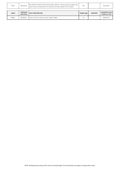| FS175 | \$3,430.00 | [18" (450mm), Robin 14hp EX40 engine, 165mm cutting capacity depth, 25L [<br>water tank, handwheel, anti-vibration handles. Blade not included. | 126 |  | \$4,715.00 |
|-------|------------|-------------------------------------------------------------------------------------------------------------------------------------------------|-----|--|------------|
|-------|------------|-------------------------------------------------------------------------------------------------------------------------------------------------|-----|--|------------|

| Model        | Wholesale<br>(Net Price) | <b>IGOLZ CORE DRILLING</b>                  | Weight (kg) | <b>BARCODE</b> | <b>Competitive Price</b><br><b>Guide (Inc. GST)</b> |
|--------------|--------------------------|---------------------------------------------|-------------|----------------|-----------------------------------------------------|
| <b>KB350</b> | \$6,198.00               | Golz Core Drill 2-Stroke, STIHL 2.8kw FS560 | 45          |                | \$8,520.00                                          |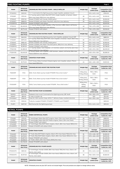| <b>FIRE FIGHTING PUMPS</b> |                          |                                                                                                                      |                                    |                             | Page 5                                              |
|----------------------------|--------------------------|----------------------------------------------------------------------------------------------------------------------|------------------------------------|-----------------------------|-----------------------------------------------------|
| <b>Model</b>               | Wholesale<br>(Net Price) | <b>CROMMELINS FIRE FIGHTING PUMPS - SINGLE IMPELLER</b>                                                              | Weight (kg)                        | Package<br>LxWxH (mm)       | <b>Competitive Price</b><br><b>Guide (Inc. GST)</b> |
| FF150PED                   | \$553.00                 | 1 1/2" Crommelins fire fighting pump, single impeller, pedestal mount                                                | $\overline{\phantom{a}}$           | 510 x 440 x 440             | \$760.00                                            |
| FF150RP                    | \$751.00                 | 1 ½" pump, petrol, Robin 6hp EX17 OHC, single impeller, oil sensor, r/start,<br>60m max head, 360L/min max delivery  | 28                                 | 510 x 440 x 440             | \$1,030.00                                          |
| FF150HP                    | \$767.00                 | Model FF150RP with Honda GX200 petrol                                                                                | 28                                 | 510 x 440 x 440             | \$1,050.00                                          |
| FF150RP7                   | \$868.00                 | Model FF150RP with Robin 7hp EX21, 420L/min max delivery                                                             | 29                                 | 510 x 440 x 440             | \$1,190.00                                          |
| FF150RP7E                  | \$1,900.00               | Model FF150RP7 with e/start                                                                                          | $ \,$                              | 510 x 440 x 440             | \$2,610.00                                          |
| FF150YD                    | \$2,450.00               | 1 1/2" pump, diesel, single impeller, 4.7hp Yanmar L48N, r/start, roll frame,<br>57m max head, 300L/min max delivery | 48                                 | 750 x 470 x 535             | \$3,370.00                                          |
| FF150YDE                   | \$3,774.00               | Model FF150YD with e/start                                                                                           | 51                                 | 750 x 470 x 535             | \$5,190.00                                          |
| Model                      | Wholesale<br>(Net Price) | <b>CROMMELINS FIRE FIGHTING PUMPS - TWIN IMPELLER</b>                                                                | Weight (kg)                        | Package<br>LxWxH (mm)       | <b>Competitive Price</b><br><b>Guide (Inc. GST)</b> |
| FT150PED                   | \$643.00                 | 1 1/2" Crommelins fire fighting pump, twin impeller, pedestal mount 5/8"                                             |                                    | 510 x 440 x 440             | \$885.00                                            |
| FT150RP                    | \$970.00                 | 1 ½" pump, Robin 6hp EX17 OHC, twin impeller, oil sensor, r/start, 90m max<br>head, 300L/min max delivery            | 30                                 | $510 \times 440 \times 440$ | \$1,333.00                                          |
| FT150HP                    | \$984.00                 | Model FTI50RP with Honda GX200 petrol                                                                                | 30                                 | 510 x 440 x 440             | \$1,350.00                                          |
| FT150RP7                   | \$1,035.00               | Model FTI50RP with Robin 7hp EX21 petrol, 360L/min max delivery                                                      | 32                                 | 510 x 440 x 440             | \$1,425.00                                          |
| FT150RP7E                  | \$1,991.00               | Model FTI50RP7 with e/start                                                                                          | 35                                 | 510 x 440 x 440             | \$2,738.00                                          |
| FT150YDE                   | \$4,385.00               | 1 ½" pump, diesel, twin impeller, L70 Yanmar, e/start, roll frame, 85m max<br>head, 240L/min max delivery            | 74                                 | 620 x 510 x 550             | \$6,030.00                                          |
| FT220YDE                   | \$4,645.00               | 2" pump, diesel, twin impeller, L100 Yanmar, e/start, roll frame, 93m max<br>head, 500l/min max delivery             | 90                                 | 620 x 510 x 550             | \$6,385.00                                          |
| <b>Model</b>               | <b>Wholesale</b>         | <b>CROMTECH PUMP DIESEL</b>                                                                                          | Weight (kg)                        | Package                     | <b>Competitive Price</b>                            |
|                            | (Net Price)              |                                                                                                                      |                                    | LxWxH (mm)                  | <b>Guide (Inc. GST)</b>                             |
| TFT150DE                   | \$1,172.00               | 11/2" Pump, 5.3hp Cromtech Diesel engine, twin impeller, e/start, 75mm<br>max head 250L/min                          | 45                                 | 560 x 460 x 565             | \$1,610.00                                          |
| <b>Model</b>               | Wholesale<br>(Net Price) | <b>CROMMELINS SKID MOUNT FIRE FIGHTING PUMP</b>                                                                      | Weight (kg)                        | Package<br>LxWxH (mm)       | <b>Competitive Price</b><br><b>Guide (Inc. GST)</b> |
| <b>FS600RP</b>             | <b>POA</b>               | 600L Tank, Robin pump model FF150RP, fits st. 6x4 trailer *                                                          | 145kg (dry),<br>745kg (filled)     | 1760 x 1180 x<br>1000       | <b>POA</b>                                          |
| FS800RP                    | <b>POA</b>               | 800L Tank, Robin pump model FF150RP, fits st. 6x4 trailer *                                                          | 145kg (dry),<br>945kg (filled)     | 1760 x 1180 x<br>1000       | <b>POA</b>                                          |
| <b>FS1000RP</b>            | <b>POA</b>               | 1000L Tank, Robin pump model FF150RP, fits st. 8x5 trailer *                                                         | 160kg (dry),<br>1165kg<br>(filled) | 1760 x 1500 x<br>1000       | <b>POA</b>                                          |
| <b>Model</b>               | Wholesale<br>(Net Price) | FIRE FIGHTING PUMP ACCESSORIES                                                                                       | Weight (kg)                        | Package<br>LxWxH (mm)       | <b>Competitive Price</b><br><b>Guide (Inc. GST)</b> |
| 150PED                     | \$210.00                 | Pedestal only to suit Crommelins fire fighting pump, 5/8" shaft                                                      | $\overline{\phantom{a}}$           | 320 x 330 x 270             | \$289.00                                            |
| 200KIT                     | \$83.00                  | 2" Inlet & Outlet kit                                                                                                |                                    | N/A                         | \$114.00                                            |
| <b>FFHOSEKT</b>            | \$196.00                 | Hose kit, 1x5m suction hose, 2x10m 1" delivery hoses, nozzles & strainer                                             | $\overline{\phantom{a}}$           | 550 x 550 x 200             | \$270.00                                            |
| <b>PPKTR1</b>              | \$193.00                 | Trolly for models FF150RP, FF150RP7, FT150RP and FT150RP7.                                                           |                                    |                             | \$295.00                                            |

### **PETROL PUMPS Model Wholesale** Wholesale ROBIN CENTRIFUGAL PUMPS **Research Control Control Center Control Center Center Center Center Center Center Center Center Center Center Center Center Center Center Center Center Center Center Center Center Center LxWxH (mm) Competitive Price Guide (Inc. GST)**

| PP300HPV       | \$1,137.00               | 3" Centrifugal, Honda GX200, 25m max head, 1059L/min max, r/start, roll<br>frame, viton seals | 38          | 760 x 500 x 540              | \$1,560.00                                          |
|----------------|--------------------------|-----------------------------------------------------------------------------------------------|-------------|------------------------------|-----------------------------------------------------|
| PP200HPV       | \$951.00                 | 2" Centrifugal, Honda GX200, 38m max head, 730L/min max, r/start, roll<br>frame, viton seals  | 28          | 510 x 440 x 440              | \$1,308.00                                          |
| <b>Model</b>   | Wholesale<br>(Net Price) | <b>CROMMELINS POLY PUMPS WASTE</b>                                                            | Weight (kg) | <b>Package</b><br>LxWxH (mm) | <b>Competitive Price</b><br><b>Guide (Inc. GST)</b> |
| TP400RPE       | \$4,746.00               | Model TP400RP with e/start                                                                    | 78          | 620 x 510 x 550              | \$6,525.00                                          |
| <b>TP400RP</b> | \$3,598.00               | 4" Trash, r/start, 23m max head, 2000L/min max                                                | 72          | 620 x 510 x 550              | \$4,948.00                                          |
| TP300RPE       | \$3,267.00               | Model TP300RP with e/start                                                                    | 55          |                              | \$4,490.00                                          |
| TP300RP        | \$2,119.00               | 3" Trash, 9hp EX27 Robin engine, r/start, 28m max head, 1300L/min max                         | 49          | 672 x 484 x 610              | \$2,910.00                                          |
| TP200RP        | \$1,722.00               | 2" Trash, 6hp EX17 Robin engine, r/start, 27m max head, 750L/min max                          | 35          | 570 x 436 x 397              | \$2,365.00                                          |
| <b>Model</b>   | Wholesale<br>(Net Price) | <b>ROBIN TRASH PUMPS</b>                                                                      | Weight (kg) | Package<br>LxWxH (mm)        | <b>Competitive Price</b><br><b>Guide (Inc. GST)</b> |
| CP400RPE       | \$3,153.00               | Model CP400RP with e/start EX40                                                               | 48          | 620 x 510 x 550              | \$4,330.00                                          |
| CP400RP        | \$2,028.00               | 4" Centrifugal, 9hp EX27 Robin engine, r/start, 28m max head, 1800L/min                       | 45          | 620 x 520 x 560              | \$2,789.00                                          |
| CP300RPE       | \$2,144.00               | Model PTX307 with e/start                                                                     | 32          | 620 x 510 x 550              | \$2,945.00                                          |
| <b>PTX307</b>  | \$847.00                 | 3" centrifugal, Robin 6hp EX17 Robin engine, r/start, 32m max head,                           | 30          | 540 x 390 x 440              | \$1,165.00                                          |
| <b>PTX208</b>  | \$715.00                 | 2" centrifugal, Robin 6hp EX17 engine, r/start, 32m max head, 520L/min                        | 28          | 540 x 390 x 440              | \$983.00                                            |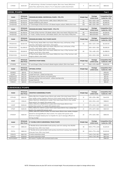$\begin{bmatrix} 3^n, \text{self priming, 4-Stroke Cromtech engine, 30m max. head, 900 L/min } \end{bmatrix}$ water flow, steel frame, r/start, 3" to 2" reduction outlet attachment  $\begin{bmatrix} 7 & 530 \times 415 \times 445 \end{bmatrix}$  \$555.00

| <b>DIESEL PUMPS</b> |                                 |                                                                                                                     |                          |                              | Page 6                                              |
|---------------------|---------------------------------|---------------------------------------------------------------------------------------------------------------------|--------------------------|------------------------------|-----------------------------------------------------|
| Model               | Wholesale<br>(Net Price)        | CROMMELINS DIESEL CENTRIFUGAL PUMPS - PTD, PTG                                                                      | Weight (kg)              | <b>Package</b><br>LxWxH (mm) | <b>Competitive Price</b><br><b>Guide (Inc. GST)</b> |
| CP300YD             | \$2,740.00                      | 3" Centrifugal, 4.7hp Yanmar L48N, r/start, 900L/min max                                                            | 44                       | 500 x 500 x 550              | \$3,765.00                                          |
| CP300YDE            | \$3,762.00                      | Model CP300YD with e/start                                                                                          | 52                       | 765 x 525 x 555              | \$4,965.00                                          |
| CP400YDE            | \$4,730.00                      | 4" Centrifugal, 6.7hp Yanmar L70 diesel engine, e/start, 1800L/min max                                              | 100                      | 980 x 530 x 660              | \$6,240.00                                          |
| <b>Model</b>        | Wholesale<br>(Net Price)        | CROMMELINS DIESEL TRASH PUMPS - PTD, PTG                                                                            | Weight (kg)              | <b>Package</b><br>LxWxH (mm) | <b>Competitive Price</b><br><b>Guide (Inc. GST)</b> |
| TP300YDE            | \$5,482.00                      | 3" Trash, 6.7hp Yanmar L70 diesel, e/start, 25m max head, 1170L/min max                                             | 95                       | 980x530x660                  | \$7,230.00                                          |
| TP400YDE            | \$6,449.00                      | 4" Trash, 10.0hp Yanmar L100 diesel, e/start, 21m max head, 1700L/min                                               | 100                      | 980x530x660                  | \$8,510.00                                          |
| <b>Model</b>        | Wholesale<br>(Net Price)        | <b>CROMMELINS DIESEL POLY PUMPS WASTE</b>                                                                           | Weight (kg)              | <b>Package</b><br>LxWxH (mm) | <b>Competitive Price</b><br><b>Guide (Inc. GST)</b> |
| PP200YDV            | \$2,924.00                      | 2" Poly Pump, diesel, 38m max head, 730L/min max, roll frame, 4.7hp<br>Yanmar L48 engine, reciol start, viton seals | 52                       | 530 x 420 x 490              | \$4,020.00                                          |
| PP200YDEV           | \$4,099.00                      | 2" Poly Pump, diesel, 38m max head, 730L/min max, roll frame, 4.7hp<br>Yanmar L48 engine, e/start, viton seals      | $\overline{\phantom{a}}$ | 500 x 500 x 550              | \$5,636.00                                          |
| PP300YDV            | \$3,628.00                      | 3" Poly Pump, diesel, 25m max head, 1059L/min max, 4.7hp Yanmar L48<br>engine, recoil start, viton seals            | 65                       | 730 x 485 x 610              | \$4,988.00                                          |
| PP300YDEV           | \$4,645.00                      | 3" Poly Pump, diesel, 25m max head, 1059L/min max, 4.7hp Yanmar L48<br>engine, e/start, viton seals                 |                          | 500 x 500 x 550              | \$6,385.00                                          |
| Model               | Wholesale<br>(Net Price)        | <b>CROMTECH PUMP DIESEL</b>                                                                                         | Weight (kg)              | <b>Package</b><br>LxWxH (mm) | <b>Competitive Price</b><br><b>Guide (Inc. GST)</b> |
| CTD301E             | \$1,129.00                      | 3" centrifugal, 5.3hp Cromtech diesel engine, e/start, 25m max head                                                 | 45                       | 560 x 475 x 690              | \$1,550.00                                          |
| Model               | <b>Wholesale</b><br>(Net Price) | <b>OPTIONAL EXTRAS</b>                                                                                              | Weight (kg)              | Package<br>LxWxH (mm)        | <b>Competitive Price</b><br><b>Guide (Inc. GST)</b> |
| 200RED              | \$95.00                         | 3" to 2" Reducer kit                                                                                                | $\overline{\phantom{a}}$ |                              | \$130.00                                            |
| <b>DLRKIT</b>       | \$314.00                        | Large fuel tank - Diesel pumps only                                                                                 |                          |                              | \$428.00                                            |
| <b>EMERGSTP</b>     | \$227.00                        | Emergency Stop Station and label plate                                                                              |                          |                              | \$311.00                                            |
| <b>BATISOKIT</b>    | \$227.00                        | Battery isolator lock and switch - e/start pumps only                                                               | $\overline{\phantom{a}}$ |                              | \$311.00                                            |
| <b>DRIPTANK</b>     | \$340.00                        | Large driptank                                                                                                      | $\overline{\phantom{a}}$ |                              | \$467.00                                            |
| <b>FIREEX1</b>      | \$69.00                         | Fire extinguisher 1kg                                                                                               | $\overline{\phantom{a}}$ | $\sim$                       | \$96.00                                             |

## **SUBMERSIBLE PUMPS**

| Model             | Wholesale<br>(Net Price) | <b>CROMTECH SUBMERSIBLE PUMPS</b>                                                                                                                                                                                                        | Weight (kg)              | <b>Package</b><br>LxWxH (mm) | <b>Competitive Price</b><br><b>Guide (Inc. GST)</b> |
|-------------------|--------------------------|------------------------------------------------------------------------------------------------------------------------------------------------------------------------------------------------------------------------------------------|--------------------------|------------------------------|-----------------------------------------------------|
| <b>CPP450</b>     | \$320.00                 | 450w, 85L/min, Puddle Pump, 25mm adj. outlet, 10m total head, 0.2mm<br>max. solids, vortex impeller, drains to 1mm water levels, 10m power cord                                                                                          | 12                       | 230 x 230 x 380              | \$440.00                                            |
| <b>V250F</b>      | \$136.00                 | 250w, 150L/min, 25/32/40mm outlet, 7.5m total head, 15mm max. solids,<br>float switch, 7m roped, 10m power cord                                                                                                                          | 9                        | 200 x 190 x 400              | \$188.00                                            |
| <b>V450F</b>      | \$206.00                 | 450w, 200L/min, 25/32/40mm outlet, 8.5m total head, 25mm max.<br>solids, float switch, 7m roped, 10m power cord,                                                                                                                         | 17                       | 270 x 200 x 520              | \$285.00                                            |
| <b>V750F</b>      | \$232.00                 | 750w, 300L/min, 50mm outlet, 10.5m total head, 25mm max. solids, float<br>switch, 7m roped, 10m power cord                                                                                                                               | 21                       | 270 x 207 x 560              | \$320.00                                            |
| <b>V1100DF</b>    | \$262.00                 | 1100w, 233L/min, 50mm outlet, 7m total head, 25mm max. solids, chopper<br>blade for sewage/effluent, float switch, 7m roped, 10m power cord.<br>External chopper blade prior to impeller for use in sewage, effluent &<br>stringy sludge | 23                       | 275 x 225 x 560              | \$360.00                                            |
| <b>Model</b>      | Wholesale<br>(Net Price) | 2" FLEXIBLE DRIVE SUBMERSIBLE TRASH PUMPS                                                                                                                                                                                                | Weight (kg)              | Package<br>LxWxH (mm)        | <b>Competitive Price</b><br><b>Guide (Inc. GST)</b> |
| FP <sub>2</sub> T | \$892.00                 | 2" flexible drive submersible trash pump, cast iron casing, max 56,000<br>litres per hour, 29m max head                                                                                                                                  | 33                       | 1000 x 770 x 200             | \$1,225.00                                          |
| FP2TA             | \$892.00                 | 2" flexible drive submersible trash pump, aluminium casing, max 56,000<br>litres per hour, 29m max head                                                                                                                                  | 32                       | 1000 x 770 x 200             | \$1,225.00                                          |
| FPEXT3            | \$647.00                 | 3 metre extension shaft                                                                                                                                                                                                                  | $\overline{\phantom{a}}$ | 940 x 740 x 80               | \$890.00                                            |
| FPEXT6            | \$709.00                 | 6 metre extension shaft                                                                                                                                                                                                                  | $\overline{\phantom{a}}$ | 940 x 740 x 80               | \$977.00                                            |
| FP2THOSEKT        | \$130.00                 | 20 metre 2" layflat with camlock both ends                                                                                                                                                                                               |                          |                              | \$180.00                                            |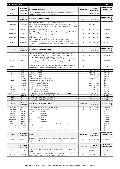| <b>GROUND CARE</b>                |                          |                                                                                                                                                                                                                           |                          |                                    | Page 7                                              |
|-----------------------------------|--------------------------|---------------------------------------------------------------------------------------------------------------------------------------------------------------------------------------------------------------------------|--------------------------|------------------------------------|-----------------------------------------------------|
| Model                             | Wholesale<br>(Net Price) | <b>GROUNDHOG TRENCHERS</b>                                                                                                                                                                                                | Weight (kg)              | Package<br>LxWxH (mm)              | <b>Competitive Price</b><br><b>Guide (Inc. GST)</b> |
| <b>T418RP</b>                     | \$5,605.00               | 6hp EX17 with centrifugal clutch, recoil start, Donaldson air cleaner, 3<br>depth adjustments 8", 12", 18", "shark chain"                                                                                                 | 110                      | 1600 x 610 x 1200                  | \$7,700.00                                          |
| <b>Model</b>                      | Wholesale<br>(Net Price) | <b>CROMMELINS WOOD CHIPPERS</b>                                                                                                                                                                                           | Weight (kg)              | Package<br>LxWxH (mm)              | <b>Competitive Price</b><br><b>Guide (Inc. GST)</b> |
| GTS600RP                          | \$1,719.00               | Up to 50mm greenwood, 7.0hp EX21 Robin engine, hopper 250x250mm,<br>60mm reversible blades, foot mounted e-stops, deep feed chute, rubber<br>curtain prevents chip 'spit' with directional chute, enclosed belt. Domestic | 58                       | 1340 x 470 x 1320                  | \$2,360.00                                          |
| GTS600HP                          | \$1,873.00               | GTS600RP with Honda engine                                                                                                                                                                                                | 58                       | 1340 x 470 x 1320                  | \$2,575.00                                          |
| GTS1300RP                         | \$4,013.00               | Up to 100mm greenwood, 14.0hp EX40 Robin engine, hopper 340x420mm,<br>250mm reversible blades, deep hopper, foot mounted e-stop, rubber<br>curtain                                                                        | 165                      | 1500 x 750 x 1520                  | \$5,518.00                                          |
| GTS1300HP                         | \$4,627.00               | GTS1300RP with Honda engine                                                                                                                                                                                               | 165                      | 1500 x 750 x 1520                  | \$6,363.00                                          |
| GTS1310RP                         | \$4,566.00               | Up to 100mm greenwood, 14.0hp EX40 Robin engine, hopper<br>340x420mm, 250mm reversible blades, deep hopper, panic bar, safety<br>switches on hopper & chute, lockable recoil start, tie-down points, rubber<br>curtain    | 175                      | 1500 x 750 x 1520                  | \$6,279.00                                          |
| Model                             | Wholesale<br>(Net Price) | <b>GROUNDHOG POST HOLE DIGGERS</b>                                                                                                                                                                                        | Weight (kg)              | Package<br>LxWxH (mm)              | <b>Competitive Price</b><br><b>Guide (Inc. GST)</b> |
| <b>C715RP</b>                     | \$2,340.00               | 2 man digger, up to 12" augers, 7/8" square auger drive, heavy duty<br>centrifugal clutch, auger speed 180rpm at 3600rpm (no load), 21 kgf-m<br>torque/150 lbf-ft (approx) 6.0hp Robin EX17 engine                        | 35                       | 500 x 500 x 550                    | \$3,220.00                                          |
| <b>GHM1H</b>                      | \$2,105.00               | I man operation, fits up to 8" augers (RD models), petrol, Honda GX35,<br>compact & lightweight, centrifugal clutch disengages on hidden<br>obstacles                                                                     | 11.5                     |                                    | \$2,897.00                                          |
| HD99HP                            | <b>POA</b>               | 1 man operation, fits up to 18" augers, petrol, Honda GX270, centrifugal<br>clutch disengages on hidden obstacles SPECIAL ORDER ONLY                                                                                      | 135                      |                                    | <b>POA</b>                                          |
| RD <sub>2</sub>                   | \$177.00                 | 2" Auger for GHM1H                                                                                                                                                                                                        | $\sim$                   | 925 x 50 x 50                      | \$244.00                                            |
| RD4<br>RD <sub>6</sub>            | \$259.00                 | 4" Auger for GHM1H                                                                                                                                                                                                        | $\overline{\phantom{a}}$ | 925 x 100 x 100<br>925 x 150 x 150 | \$357.00<br>\$539.00                                |
| RD <sub>8</sub>                   | \$391.00<br>\$417.00     | 6" Auger for GHM1H<br>8" Auger for GHM1H                                                                                                                                                                                  | $\overline{\phantom{a}}$ | 925 x 205 x 205                    | \$574.00                                            |
| <b>MIDS</b>                       | \$340.00                 | Storage and display stand for GHMIS                                                                                                                                                                                       |                          | 1125 x 820 x 710                   | \$469.00                                            |
| DS3                               | \$268.00                 | Storage and display stand for C715RP                                                                                                                                                                                      |                          |                                    | \$370.00                                            |
| PSD <sub>2</sub>                  | \$224.00                 | 2" Auger for C715SX, HD99HP                                                                                                                                                                                               |                          | $965 \times 50 \times 50$          | \$305.00                                            |
| PSD4                              | \$308.00                 | 4" Auger for C715SX, HD99HP                                                                                                                                                                                               |                          | 965 x 100 x 100                    | \$425.00                                            |
| PSD6<br>PSD <sub>9</sub>          | \$420.00<br>\$471.00     | 6" Auger for C715SX, HD99HP<br>9" Auger for C715SX, HD99HP                                                                                                                                                                |                          | 965 x 150 x 150<br>965 x 230 x 230 | \$575.00<br>\$645.00                                |
| PSD <sub>10</sub>                 | \$483.00                 | 10" Auger for C715SX, HD99HP                                                                                                                                                                                              |                          | 965 x 250 x 250                    | \$665.00                                            |
| PSD <sub>12</sub>                 | \$536.00                 | 12" Auger for C715SX, HD99HP                                                                                                                                                                                              |                          | 965 x 305 x 305                    | \$735.00                                            |
| <b>STADAPT</b>                    | \$208.00                 | Adaptor for STIHL Augers for post hole diggers C715SX, HD99HP                                                                                                                                                             | $\overline{\phantom{a}}$ | 130 x 70 x 70                      | \$285.00                                            |
| EX1                               | \$89.00                  | Ift extension shaft (For PSD augers only)                                                                                                                                                                                 |                          | 305 x 45 x 45                      | \$124.00                                            |
| EX <sub>2</sub>                   | \$106.00                 | 2ft extension shaft (For PSD augers only)                                                                                                                                                                                 |                          | 610 x 45 x 45                      | \$147.00                                            |
| EX3                               | \$136.00<br>Wholesale    | 3ft extension shaft (For PSD augers only)                                                                                                                                                                                 |                          | 900 x 45 x 45<br>Package           | \$188.00<br><b>Competitive Price</b>                |
| Model                             | (Net Price)              | <b>CROMMELINS STAR PICKET DRIVERS</b>                                                                                                                                                                                     | Weight (kg)              | LxWxH (mm)                         | <b>Guide (Inc. GST)</b>                             |
| SPX52HP                           | \$1,334.00               | 2" capacity picket driver, Honda GX35 engine                                                                                                                                                                              | 16                       | 610 x 370 x 460                    | \$1,835.00                                          |
| SPX82HP<br>PDX52075               | \$1,540.00<br>\$32.00    | 3" capacity picket driver, Honda GX35 engine<br>3/4" reducer for SPX52HP                                                                                                                                                  | 19.5                     | 610 x 370 x 460                    | \$2,118.00<br>\$47.00                               |
| <b>PDX5215</b>                    | \$32.00                  | 11/2" reducer for SPX52HP                                                                                                                                                                                                 | $\blacksquare$           | $\blacksquare$                     | \$47.00                                             |
| PDX52C                            | \$27.00                  | Collar reducer for SPX52HP                                                                                                                                                                                                |                          | $\sim$                             | \$38.00                                             |
| <b>PDX822</b>                     | \$32.00                  | 2" reducer for SPX82HP                                                                                                                                                                                                    | $\sim$                   | $\overline{\phantom{a}}$           | \$47.00                                             |
| PDX82225                          | \$32.00                  | 21/4" reducer for SPX82HP                                                                                                                                                                                                 |                          |                                    | \$47.00                                             |
| PDX82C                            | \$27.00                  | Collar reducer for SPX82HP                                                                                                                                                                                                |                          |                                    | \$38.00                                             |
| <b>PDCASE</b><br><b>PDXHDKITE</b> | \$70.00<br>\$242.00      | Storage Case to suit all Crommelins Star Picket Driver models<br>Multifunction handle kit                                                                                                                                 | $\overline{\phantom{a}}$ |                                    | \$102.00<br>\$339.00                                |
| <b>PDXHDKITA</b>                  | \$269.00                 | Extension handle kit                                                                                                                                                                                                      | $\overline{\phantom{a}}$ |                                    | \$375.00                                            |
| PDCRADLE                          | \$200.00                 | Storage/transport cradle to suit all Crommelins Star Picket Driver models                                                                                                                                                 |                          | 480 x 350 x 310                    | \$275.00                                            |
| <b>Model</b>                      | Wholesale<br>(Net Price) | <b>LAWN DETHATCHERS</b>                                                                                                                                                                                                   | Weight (kg)              | Package<br>LxWxH (mm)              | <b>Competitive Price</b><br><b>Guide (Inc. GST)</b> |
| <b>PR18</b>                       | \$2,953.00               | 18" (457mm) de-thatcher, Bluebird, folding handle, fitted with flail blades,<br>59kg, Honda GX160 - Catcher and seeder not applicable on this model                                                                       | 85                       | 920 x 920 x 900                    | \$4,060.00                                          |
| <b>Model</b>                      | Wholesale<br>(Net Price) | <b>SOD AND TURF CUTTERS</b><br>16" turf cutter, Ings, Honda Engine GX270, pneumatic drive wheels, belt                                                                                                                    | Weight (kg)              | Package<br>LxWxH (mm)              | <b>Competitive Price</b><br><b>Guide (Inc. GST)</b> |
| TC16HP                            | <b>POA</b>               | driven                                                                                                                                                                                                                    | 130                      | 1450 x 850 x 500                   | <b>POA</b>                                          |
| SC550H                            | \$8,292.00               | 18" (458mm) turf cutter, Bluebird, up to 2.5" cutting depth, 10" semi-                                                                                                                                                    | 184                      | 1100 x 700 x 1100                  | \$11,400.00                                         |
|                                   |                          | pneumatic v-tractor tread wheels, Honda Engine GX200                                                                                                                                                                      |                          |                                    |                                                     |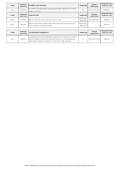| <b>Model</b> | Wholesale<br>(Net Price) | <b>BLUEBIRD LAWN AERATOR</b>                                                                           | Weight (kg)                | Package<br>LxWxH (mm)         | <b>Competitive Price</b><br><b>Guide (Inc. GST)</b> |
|--------------|--------------------------|--------------------------------------------------------------------------------------------------------|----------------------------|-------------------------------|-----------------------------------------------------|
| 530          | \$5,700.00               | 19" (483mm), Honda engine, aerating width 48cm, depth up to 3 inches,<br>pattern 7.6 - 10cm            | 173                        | $1100 \times 900 \times 1100$ | \$7,835.00                                          |
| <b>Model</b> | Wholesale<br>(Net Price) | <b>LAWN ROLLERS</b>                                                                                    | Weight (kg)                | Package<br>$LxWxH$ (mm)       | <b>Competitive Price</b><br><b>Guide (Inc. GST)</b> |
| 60PLR        | \$195.00                 | 600mm wide, 60L water capacity, poly lawn roller                                                       | 5kg empty,<br>65kg filled  | 790 x 360 x 380               | \$268.00                                            |
| <b>SROLL</b> | \$850.00                 | 600mm wide, 150mm spiked roller, 4.8mm thick wall, galvanised, 40L<br>water capacity, removable handle | 35kg empty,<br>75kg filled |                               | \$1,165.00                                          |

| <b>Model</b>    | Wholesale<br>(Net Price) | <b>CTM ERGONOMIC HARNESS ET2</b>                                                                                                                                                                                      | Weight (kg) | Package<br>LxWxH (mm) | <b>Competitive Price</b><br><b>Guide (Inc. GST)</b> |
|-----------------|--------------------------|-----------------------------------------------------------------------------------------------------------------------------------------------------------------------------------------------------------------------|-------------|-----------------------|-----------------------------------------------------|
| ET <sub>2</sub> | \$462.00                 | Assisted lifting harness, adjustable strapping (for all sizes), suits to petrol<br>powered Hedge Trimmers, annodized aluminium arm, self tensioning<br>cable reduces apparent weight to no more than 1.5kg, carry bag |             | 1340 x 470 x 1320     | \$636.00                                            |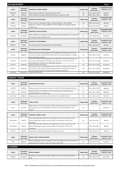| <b>AIR EQUIPMENT</b> |                                 |                                                                                                                                                                                                                |             |                              | Page 8                                              |
|----------------------|---------------------------------|----------------------------------------------------------------------------------------------------------------------------------------------------------------------------------------------------------------|-------------|------------------------------|-----------------------------------------------------|
| <b>Model</b>         | <b>Wholesale</b><br>(Net Price) | <b>CROMTECH CARPET DRYERS</b>                                                                                                                                                                                  | Weight (kg) | <b>Package</b><br>LxWxH (mm) | <b>Competitive Price</b><br><b>Guide (Inc. GST)</b> |
| AP110002             | \$350.00                        | 250w, 850cfm, 1600rpm, small profile, stackable                                                                                                                                                                | 8.5         | 540 x 430 x 250              | \$480.00                                            |
| D <sub>22</sub>      | \$285.00                        | 750w, 2455cfm, 3 Speed, 1200/1300/1400rpm, stackable, 70db                                                                                                                                                     | 16          | 980 x 530 x 660              | \$392.00                                            |
| <b>Model</b>         | Wholesale<br>(Net Price)        | <b>CROMTECH VENTILATORS</b>                                                                                                                                                                                    | Weight (kg) | <b>Package</b><br>LxWxH (mm) | <b>Competitive Price</b><br><b>Guide (Inc. GST)</b> |
| <b>HT30</b>          | \$163.00                        | 750w, 12" Metal Ventilator, 373pa, 1 Speed, 2800rpm, 65m3, 78db                                                                                                                                                | 10.5        | 980 x 530 x 660              | \$225.00                                            |
| AP110012             | \$315.00                        | 1000w, 12", 540pa, 1 Speed, 2850rpm, 65m3, 68db, rust resistant plastic<br>body/covers                                                                                                                         | 14          | 980 x 530 x 660              | \$433.00                                            |
| <b>Model</b>         | Wholesale<br>(Net Price)        | <b>CROMTECH AIR FILTRATION</b>                                                                                                                                                                                 | Weight (kg) | <b>Package</b><br>LxWxH (mm) | <b>Competitive Price</b><br><b>Guide (Inc. GST)</b> |
| AS110001             | \$1,008.00                      | 250w, 500cfm, air scrubber, variable speed control, 2400rpm, 16" inlet amd<br>10" lay flat outlet, HEPA filtration                                                                                             | 16          | 570 x 360 x 86               | \$1,385.00                                          |
| <b>Model</b>         | Wholesale<br>(Net Price)        | <b>DUCTING &amp; ATTACHMENTS</b>                                                                                                                                                                               | Weight (kg) | <b>Package</b><br>LxWxH (mm) | <b>Competitive Price</b><br><b>Guide (Inc. GST)</b> |
| <b>BR125M</b>        | \$73.00                         | Cromtech Flexible Ducting 300mm (12")x5 Metres                                                                                                                                                                 | 3           | 980 x 530 x 660              | \$102.00                                            |
| <b>Model</b>         | Wholesale<br>(Net Price)        | <b>CROMMELINS AIR COMPRESSORS</b>                                                                                                                                                                              | Weight (kg) | <b>Package</b><br>LxWxH (mm) | <b>Competitive Price</b><br><b>Guide (Inc. GST)</b> |
| AC10E                | \$958.00                        | 270L/min 9.5cfm Pumps displacement, 200L/min 7.1cfm FAD, twin cast<br>iron pump, 1.65kw 2.2hp 10amp motor, 60L tank, filter/regulator included.<br>Part assembly required                                      | 85          | 970 x 370 x 770              | \$1,315.00                                          |
| AC15RP               | \$1,540.00                      | 430L/min 15.2cfm Pumps displacement, 350L/min 12.4cfm FAD, twin cast<br>iron pump, 6HP Robin EX17 engine, auto idle down, motor, 60L tank,<br>filter/regulator included. Part assembly required.               | 90          | 1001 x 420 x 1200            | \$2,118.00                                          |
| AC15HP               | \$1,630.00                      | Model AC15RP with Honda                                                                                                                                                                                        | 90          | 1001 x 420 x 1200            | \$2,241.00                                          |
| AC19YD               | \$3,312.00                      | 540L/min 19.1cfm Pumps displacement, 440L/min 15.5cfm FAD, twin cast<br>iron pump, 4.7HP Yanmar diesel engine, r/start, auto idle down, motor,<br>75L tank, filter/regulator included. Part assembly required. | 119         | 1113 x 410 x 1300            | \$4,550.00                                          |
| AC19YDE              | \$4,063.00                      | AC19YD with e/start                                                                                                                                                                                            | 124         | 1113 x 510 x 1300            | \$5,588.00                                          |

**Model Wholesale (Net Price) DRUM SANDERS Weight (kg) Package LxWxH (mm) Competitive Price Guide (Inc. GST)** 07060A \$4,698.00 8" wide drum, American Sanders, 1100w motor, vacuum port, 1500rpm. EZ8 48 990 x 380 x 810 \$6,445.00

### **GENERAL TRADE**

| <b>Model</b>   | Wholesale<br>(Net Price) | <b>CROMMELINS TROLLEYS</b>                                                                            | Weight (kg) | Package<br>LxWxH (mm) | <b>Competitive Price</b><br><b>Guide (Inc. GST)</b> |
|----------------|--------------------------|-------------------------------------------------------------------------------------------------------|-------------|-----------------------|-----------------------------------------------------|
| <b>CWKTR</b>   | \$288.00                 | 150kg capacity, compactor trolley for CC90R & CC70R, 400x500x1305mm                                   | 15          | 400 x 500 x 1305      | \$396.00                                            |
| <b>FTSCS</b>   | \$412.00                 | 300kg capacity, for fridges etc, 3x tri-shaped stair climbing wheels,<br>460x610x1520mm, rachet strap | 25          | 460 x 610 x 1520      | \$566.00                                            |
| <b>PLCADDY</b> | \$343.00                 | 45kg capacity, solid rubber wheels, fits PLIFT, 410x600x1114mm                                        | 60          | 410 x 600 x 1114      | \$470.00                                            |

| Model        | Wholesale<br>(Net Price) | <b>IPANEL LIFTER</b>                                                                                                                                   | Weight (kg) | Package<br>LxWxH (mm) | <b>Competitive Price</b><br><b>Guide (Inc. GST)</b> |
|--------------|--------------------------|--------------------------------------------------------------------------------------------------------------------------------------------------------|-------------|-----------------------|-----------------------------------------------------|
| <b>PLIFT</b> | \$1,211.00               | 68kg capacity, Intex drywall/panel lifter, single sheet capacity, wallboard<br>size capacity up to 1200x4800mm, 3315mm max height, 860mm min<br>height | 45          |                       | \$1,665.00                                          |

| Model        | Wholesale<br>(Net Price) | <b>ICROMTECH WORK LIGHTS</b>                                                       | Weight (kg) | Package<br>LxWxH (mm)       | <b>Competitive Price</b><br><b>Guide (Inc. GST)</b> |
|--------------|--------------------------|------------------------------------------------------------------------------------|-------------|-----------------------------|-----------------------------------------------------|
|              |                          | 20w LED (COB) light, 600LM, rechargeable, up to 4hrs operation, 100°               |             |                             |                                                     |
| CWL20WR      | \$30.00                  | beam angle, light weight, carry handle, li-ion battery, mains & 12V<br>charging.   | 0.5         | 225 x 165 x 235             | \$48.00                                             |
|              |                          | $[50w$ LED (COB) light, 1300LM, rechargeable, up to 4hrs operation, 120 $^{\circ}$ |             |                             |                                                     |
| CWL50WR      | \$54.00                  | beam angle, light weight, carry handle, li-ion battery, mains & 12V<br>charging.   |             | 325 x 175 x 325             | \$80.00                                             |
| <b>CWLTP</b> | \$22.00                  | Tripod stand, folding legs, single or double lamp use                              |             | $150 \times 150 \times 710$ | \$32.00                                             |

| <b>Model</b> | Wholesale<br>(Net Price) | <b>LEARLEX WALL PAPER STEAMER</b>                                                                                                | Weight (kg) | Package<br>LxWxH (mm) | <b>Competitive Price</b><br><b>Guide (Inc. GST)</b> |
|--------------|--------------------------|----------------------------------------------------------------------------------------------------------------------------------|-------------|-----------------------|-----------------------------------------------------|
| SM5          | \$889.00                 | Earlex wallpaper steamer stripper, 7.5 litre anodised water tank, anti-coil<br>steamplate, 5m coolrun hose, 5m mains cable, 230V | 9.2         | 780 x 370 x 370       | \$1,220.00                                          |

### **FLOORING**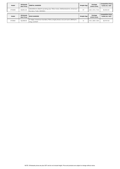| Model  | Wholesale<br>(Net Price) | <b>ORBITAL SANDERS</b>                                                                           | Weight (kg) | Package<br>LxWxH (mm) | <b>Competitive Price</b><br><b>Guide (Inc. GST)</b> |
|--------|--------------------------|--------------------------------------------------------------------------------------------------|-------------|-----------------------|-----------------------------------------------------|
| 07083B | \$3,894.00               | 450x305mm (18x12") sanding size, 750w motor, 3000orbits/min, American<br>Sanders, 74db. OBS18DC. | 57          | 460 x 510 x 1140      | \$5,350.00                                          |
|        | Wholesale                |                                                                                                  |             | Package               | <b>Competitive Price</b>                            |

| Model  | <b>Wholesale</b><br>(Net Price) | <b>IEDGE SANDERS</b>                                                                   | Weight (kg) | Package<br>LxWxH (mm) | <b>COUPLANAL LIPS</b><br>Guide (Inc. GST) |
|--------|---------------------------------|----------------------------------------------------------------------------------------|-------------|-----------------------|-------------------------------------------|
| 07098A | \$2,698.00                      | ,7" edger, American Sanders, 750w, single phase, vacuum port, 2800rpm,<br>14kg. SUPER7 | 14          | 410 x 280 x 300       | \$3,707.00                                |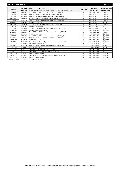| <b>PETROL ENGINES</b> |                                 |                                                                                                               |             |                              | Page 9                                              |
|-----------------------|---------------------------------|---------------------------------------------------------------------------------------------------------------|-------------|------------------------------|-----------------------------------------------------|
| <b>MODEL</b>          | <b>Wholesale</b><br>(Net Price) | <b>ROBIN EX ENGINES - OHC</b><br>Please specify muffler configuration (Rear / Oil Filter side / Starter side) | Weight (kg) | <b>Package</b><br>LxWxH (mm) | <b>Competitive Price</b><br><b>Guide (Inc. GST)</b> |
| EX17DR                | \$589.00                        | 6hp/4000 rpm 20mm parallel shaft, r/start, 66db/7m                                                            | 15          | 400 x 450 x 420              | \$810.00                                            |
| EX17DUR               | \$589.00                        | 6hp/4000 rpm 3/4" parallel shaft, r/start, 66db/7m                                                            | 15          | 400 x 450 x 420              | \$810.00                                            |
| EX17DHR               | \$589.00                        | 6hp/4000 rpm tapered genset shaft, r/start, 66db/7m                                                           | 16          | 400 x 450 x 420              | \$810.00                                            |
| EX17DPR               | \$589.00                        | 6hp/4000 rpm 5/8" screwed pump shaft, r/start, 66db/7m                                                        | 15          | 400 x 450 x 420              | \$810.00                                            |
| EX21DR                | \$666.00                        | 7hp/4000 rpm 20mm parallel shaft, r/start, 68db/7m                                                            | 16          | 400 x 450 x 420              | \$919.00                                            |
| EX21DSR               | \$1,000.00                      | EX21DR with e/start                                                                                           | 21          | 400 x 450 x 420              | \$1,375.00                                          |
| EX21DUR               | \$666.00                        | 7hp/4000 rpm $\frac{3}{4}$ " parallel shaft, r/start, 68db/7m                                                 | 16          | 400 x 450 x 420              | \$919.00                                            |
| EX21DUSR              | \$1,000.00                      | EX21DUR with e/start                                                                                          | 20          | 400 x 450 x 420              | \$1,375.00                                          |
| EX21DHR               | \$666.00                        | 7hp/4000 rpm tapered genset shaft, r/start, 68db/7m                                                           | 16          | 400 x 450 x 420              | \$919.00                                            |
| EX21DHSR              | \$1,000.00                      | EX21DH with e/start, 68db/7m                                                                                  | 21          | 400 x 450 x 420              | \$1,375.00                                          |
| EX21DPR               | \$666.00                        | 7hp/4000 rpm 5/8" screwed pump shaft, r/start, 68db/7m                                                        | 16          | 400 x 450 x 420              | \$919.00                                            |
| EX21DPSR              | \$1,000.00                      | EX21DPR with e/start                                                                                          | 21          | 400 x 450 x 420              | \$1,375.00                                          |
| EX27DR                | \$994.00                        | 9hp/4000 rpm 25mm parallel shaft, r/start, 69.5db/7m                                                          | 21          | 510 x 470 x 480              | \$1,365.00                                          |
| EX27DUR               | \$994.00                        | 9hp/4000 rpm 1" parallel shaft, r/start, 69.5db/7m                                                            | 21          | 510 x 470 x 480              | \$1,365.00                                          |
| EX27DUSR              | \$1,408.00                      | EX27DUR with e/start                                                                                          | 28          | 510 x 470 x 480              | \$1,935.00                                          |
| EX27DHR               | \$994.00                        | 9hp/4000 rpm tapered generator shaft, r/start, 69.5db/7m                                                      | 21          | 510 x 470 x 480              | \$1,367.00                                          |
| EX27DHSR              | \$1,408.00                      | EX27DHR with e/start                                                                                          | 28          | 510 x 470 x 480              | \$1,935.00                                          |
| EX27DDR               | \$994.00                        | 9hp/4000 rpm 20mm pump shaft, r/start, 69.5db/7m                                                              | 21          | 510 x 470 x 480              | \$1,365.00                                          |
| EX27DDSR              | \$1,408.00                      | EX27DDR with e/start                                                                                          | 21          | 510 x 470 x 480              | \$1,935.00                                          |
| EX40DR                | \$1,397.00                      | 14hp, 25mm parallel shaft, 72db at 7m                                                                         | 33          | 560 x 500 x 510              | \$1,920.00                                          |
| EX40DUR               | \$1,397.00                      | 14hp/3600 rpm 1" parallel shaft, r/start, 72db/7m                                                             | 33          | 560 x 500 x 510              | \$1,920.00                                          |
| EX40DUSR              | \$1,887.00                      | EX40DUR with e/start                                                                                          | 38          | 560 x 500 x 510              | \$2,595.00                                          |
| EX40DHR               | \$1,397.00                      | 14hp/3600 rpm tapered generator shaft, r/start, 72db/7m                                                       | 33          | 560 x 500 x 510              | \$1,920.00                                          |
| EX40DHSR              | \$1,886.00                      | EX40DHR with e/start                                                                                          | 38          | 560 x 500 x 510              | \$2,595.00                                          |

See notes - Basic engine and a drop down for configurations